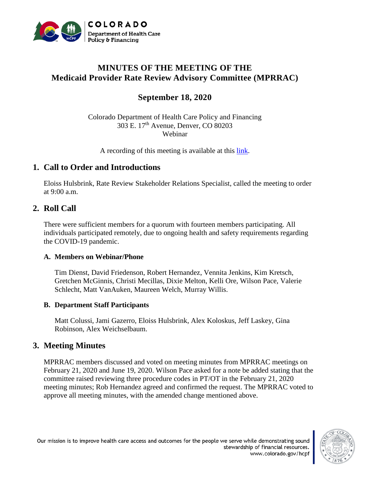

# **MINUTES OF THE MEETING OF THE Medicaid Provider Rate Review Advisory Committee (MPRRAC)**

# **September 18, 2020**

Colorado Department of Health Care Policy and Financing 303 E. 17th Avenue, Denver, CO 80203 Webinar

A recording of this meeting is available at this [link.](https://youtu.be/D2JqfMP2qmY)

## **1. Call to Order and Introductions**

Eloiss Hulsbrink, Rate Review Stakeholder Relations Specialist, called the meeting to order at  $9:00$  a.m.

## **2. Roll Call**

There were sufficient members for a quorum with fourteen members participating. All individuals participated remotely, due to ongoing health and safety requirements regarding the COVID-19 pandemic.

### **A. Members on Webinar/Phone**

Tim Dienst, David Friedenson, Robert Hernandez, Vennita Jenkins, Kim Kretsch, Gretchen McGinnis, Christi Mecillas, Dixie Melton, Kelli Ore, Wilson Pace, Valerie Schlecht, Matt VanAuken, Maureen Welch, Murray Willis.

### **B. Department Staff Participants**

Matt Colussi, Jami Gazerro, Eloiss Hulsbrink, Alex Koloskus, Jeff Laskey, Gina Robinson, Alex Weichselbaum.

## **3. Meeting Minutes**

MPRRAC members discussed and voted on meeting minutes from MPRRAC meetings on February 21, 2020 and June 19, 2020. Wilson Pace asked for a note be added stating that the committee raised reviewing three procedure codes in PT/OT in the February 21, 2020 meeting minutes; Rob Hernandez agreed and confirmed the request. The MPRRAC voted to approve all meeting minutes, with the amended change mentioned above.



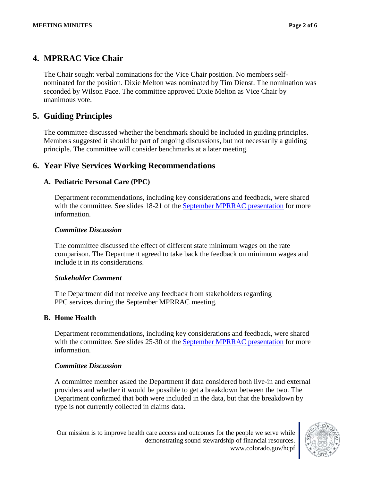# **4. MPRRAC Vice Chair**

The Chair sought verbal nominations for the Vice Chair position. No members selfnominated for the position. Dixie Melton was nominated by Tim Dienst. The nomination was seconded by Wilson Pace. The committee approved Dixie Melton as Vice Chair by unanimous vote.

# **5. Guiding Principles**

The committee discussed whether the benchmark should be included in guiding principles. Members suggested it should be part of ongoing discussions, but not necessarily a guiding principle. The committee will consider benchmarks at a later meeting.

## **6. Year Five Services Working Recommendations**

## **A. Pediatric Personal Care (PPC)**

Department recommendations, including key considerations and feedback, were shared with the committee. See slides 18-21 of the [September MPRRAC presentation](https://www.colorado.gov/pacific/sites/default/files/MPRRAC_pwptslides_18Sept2020.pdf) for more information.

## *Committee Discussion*

The committee discussed the effect of different state minimum wages on the rate comparison. The Department agreed to take back the feedback on minimum wages and include it in its considerations.

### *Stakeholder Comment*

The Department did not receive any feedback from stakeholders regarding PPC services during the September MPRRAC meeting.

### **B. Home Health**

Department recommendations, including key considerations and feedback, were shared with the committee. See slides 25-30 of the [September MPRRAC presentation](https://www.colorado.gov/pacific/sites/default/files/MPRRAC_pwptslides_18Sept2020.pdf) for more information.

### *Committee Discussion*

A committee member asked the Department if data considered both live-in and external providers and whether it would be possible to get a breakdown between the two. The Department confirmed that both were included in the data, but that the breakdown by type is not currently collected in claims data.

Our mission is to improve health care access and outcomes for the people we serve while demonstrating sound stewardship of financial resources. www.colorado.gov/hcpf

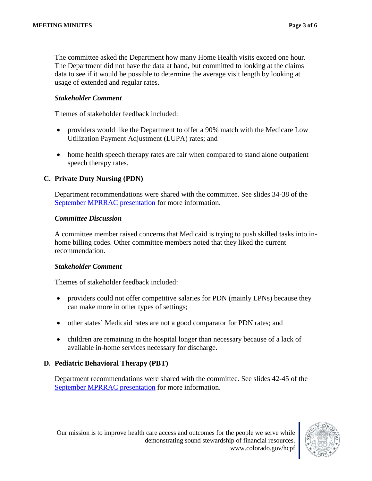The committee asked the Department how many Home Health visits exceed one hour. The Department did not have the data at hand, but committed to looking at the claims data to see if it would be possible to determine the average visit length by looking at usage of extended and regular rates.

### *Stakeholder Comment*

Themes of stakeholder feedback included:

- providers would like the Department to offer a 90% match with the Medicare Low Utilization Payment Adjustment (LUPA) rates; and
- home health speech therapy rates are fair when compared to stand alone outpatient speech therapy rates.

### **C. Private Duty Nursing (PDN)**

Department recommendations were shared with the committee. See slides 34-38 of the [September MPRRAC presentation](https://www.colorado.gov/pacific/sites/default/files/MPRRAC_pwptslides_18Sept2020.pdf) for more information.

#### *Committee Discussion*

A committee member raised concerns that Medicaid is trying to push skilled tasks into inhome billing codes. Other committee members noted that they liked the current recommendation.

#### *Stakeholder Comment*

Themes of stakeholder feedback included:

- providers could not offer competitive salaries for PDN (mainly LPNs) because they can make more in other types of settings;
- other states' Medicaid rates are not a good comparator for PDN rates; and
- children are remaining in the hospital longer than necessary because of a lack of available in-home services necessary for discharge.

#### **D. Pediatric Behavioral Therapy (PBT)**

Department recommendations were shared with the committee. See slides 42-45 of the [September MPRRAC presentation](https://www.colorado.gov/pacific/sites/default/files/MPRRAC_pwptslides_18Sept2020.pdf) for more information.

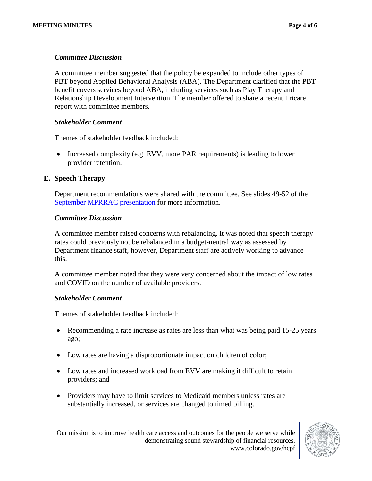### *Committee Discussion*

A committee member suggested that the policy be expanded to include other types of PBT beyond Applied Behavioral Analysis (ABA). The Department clarified that the PBT benefit covers services beyond ABA, including services such as Play Therapy and Relationship Development Intervention. The member offered to share a recent Tricare report with committee members.

#### *Stakeholder Comment*

Themes of stakeholder feedback included:

• Increased complexity (e.g. EVV, more PAR requirements) is leading to lower provider retention.

#### **E. Speech Therapy**

Department recommendations were shared with the committee. See slides 49-52 of the [September MPRRAC presentation](https://www.colorado.gov/pacific/sites/default/files/MPRRAC_pwptslides_18Sept2020.pdf) for more information.

#### *Committee Discussion*

A committee member raised concerns with rebalancing. It was noted that speech therapy rates could previously not be rebalanced in a budget-neutral way as assessed by Department finance staff, however, Department staff are actively working to advance this.

A committee member noted that they were very concerned about the impact of low rates and COVID on the number of available providers.

#### *Stakeholder Comment*

Themes of stakeholder feedback included:

- Recommending a rate increase as rates are less than what was being paid 15-25 years ago;
- Low rates are having a disproportionate impact on children of color;
- Low rates and increased workload from EVV are making it difficult to retain providers; and
- Providers may have to limit services to Medicaid members unless rates are substantially increased, or services are changed to timed billing.

Our mission is to improve health care access and outcomes for the people we serve while demonstrating sound stewardship of financial resources. www.colorado.gov/hcpf

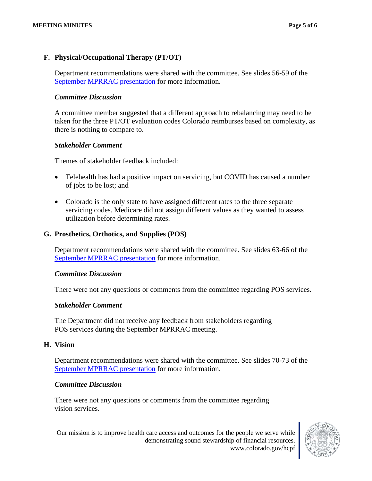### **F. Physical/Occupational Therapy (PT/OT)**

Department recommendations were shared with the committee. See slides 56-59 of the [September MPRRAC presentation](https://www.colorado.gov/pacific/sites/default/files/MPRRAC_pwptslides_18Sept2020.pdf) for more information.

#### *Committee Discussion*

A committee member suggested that a different approach to rebalancing may need to be taken for the three PT/OT evaluation codes Colorado reimburses based on complexity, as there is nothing to compare to.

#### *Stakeholder Comment*

Themes of stakeholder feedback included:

- Telehealth has had a positive impact on servicing, but COVID has caused a number of jobs to be lost; and
- Colorado is the only state to have assigned different rates to the three separate servicing codes. Medicare did not assign different values as they wanted to assess utilization before determining rates.

#### **G. Prosthetics, Orthotics, and Supplies (POS)**

Department recommendations were shared with the committee. See slides 63-66 of the [September MPRRAC presentation](https://www.colorado.gov/pacific/sites/default/files/MPRRAC_pwptslides_18Sept2020.pdf) for more information.

#### *Committee Discussion*

There were not any questions or comments from the committee regarding POS services.

#### *Stakeholder Comment*

The Department did not receive any feedback from stakeholders regarding POS services during the September MPRRAC meeting.

#### **H. Vision**

Department recommendations were shared with the committee. See slides 70-73 of the [September MPRRAC presentation](https://www.colorado.gov/pacific/sites/default/files/MPRRAC_pwptslides_18Sept2020.pdf) for more information.

#### *Committee Discussion*

There were not any questions or comments from the committee regarding vision services.



Our mission is to improve health care access and outcomes for the people we serve while demonstrating sound stewardship of financial resources. www.colorado.gov/hcpf